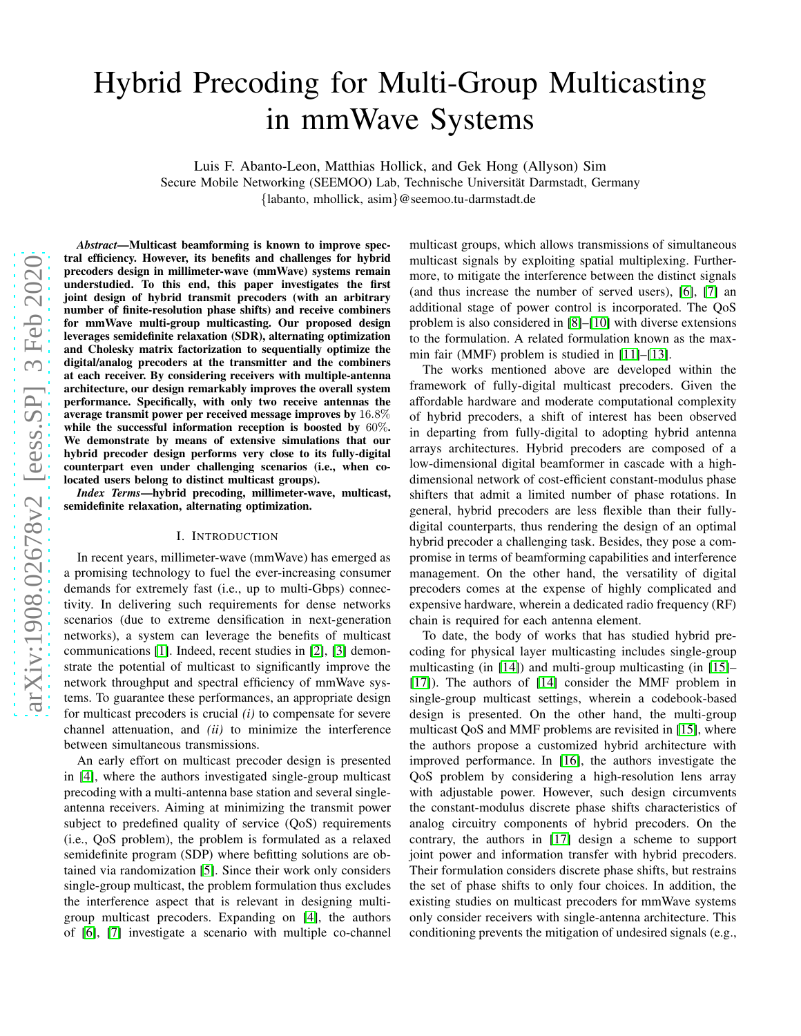# Hybrid Precoding for Multi-Group Multicasting in mmWave Systems

Luis F. Abanto-Leon, Matthias Hollick, and Gek Hong (Allyson) Sim Secure Mobile Networking (SEEMOO) Lab, Technische Universität Darmstadt, Germany {labanto, mhollick, asim}@seemoo.tu-darmstadt.de

arXiv:1908.02678v2 [eess.SP] 3 Feb 2020 [arXiv:1908.02678v2 \[eess.SP\] 3 Feb 2020](http://arxiv.org/abs/1908.02678v2)

*Abstract*—Multicast beamforming is known to improve spectral efficiency. However, its benefits and challenges for hybrid precoders design in millimeter-wave (mmWave) systems remain understudied. To this end, this paper investigates the first joint design of hybrid transmit precoders (with an arbitrary number of finite-resolution phase shifts) and receive combiners for mmWave multi-group multicasting. Our proposed design leverages semidefinite relaxation (SDR), alternating optimization and Cholesky matrix factorization to sequentially optimize the digital/analog precoders at the transmitter and the combiners at each receiver. By considering receivers with multiple-antenna architecture, our design remarkably improves the overall system performance. Specifically, with only two receive antennas the average transmit power per received message improves by 16.8% while the successful information reception is boosted by  $60\%$ . We demonstrate by means of extensive simulations that our hybrid precoder design performs very close to its fully-digital counterpart even under challenging scenarios (i.e., when colocated users belong to distinct multicast groups).

*Index Terms*—hybrid precoding, millimeter-wave, multicast, semidefinite relaxation, alternating optimization.

# I. INTRODUCTION

In recent years, millimeter-wave (mmWave) has emerged as a promising technology to fuel the ever-increasing consumer demands for extremely fast (i.e., up to multi-Gbps) connectivity. In delivering such requirements for dense networks scenarios (due to extreme densification in next-generation networks), a system can leverage the benefits of multicast communications [\[1\]](#page-6-0). Indeed, recent studies in [\[2\]](#page-6-1), [\[3\]](#page-6-2) demonstrate the potential of multicast to significantly improve the network throughput and spectral efficiency of mmWave systems. To guarantee these performances, an appropriate design for multicast precoders is crucial *(i)* to compensate for severe channel attenuation, and *(ii)* to minimize the interference between simultaneous transmissions.

An early effort on multicast precoder design is presented in [\[4\]](#page-6-3), where the authors investigated single-group multicast precoding with a multi-antenna base station and several singleantenna receivers. Aiming at minimizing the transmit power subject to predefined quality of service (QoS) requirements (i.e., QoS problem), the problem is formulated as a relaxed semidefinite program (SDP) where befitting solutions are obtained via randomization [\[5\]](#page-6-4). Since their work only considers single-group multicast, the problem formulation thus excludes the interference aspect that is relevant in designing multigroup multicast precoders. Expanding on [\[4\]](#page-6-3), the authors of [\[6\]](#page-6-5), [\[7\]](#page-6-6) investigate a scenario with multiple co-channel multicast groups, which allows transmissions of simultaneous multicast signals by exploiting spatial multiplexing. Furthermore, to mitigate the interference between the distinct signals (and thus increase the number of served users), [\[6\]](#page-6-5), [\[7\]](#page-6-6) an additional stage of power control is incorporated. The QoS problem is also considered in [\[8\]](#page-6-7)–[\[10\]](#page-6-8) with diverse extensions to the formulation. A related formulation known as the maxmin fair (MMF) problem is studied in [\[11\]](#page-6-9)–[\[13\]](#page-6-10).

The works mentioned above are developed within the framework of fully-digital multicast precoders. Given the affordable hardware and moderate computational complexity of hybrid precoders, a shift of interest has been observed in departing from fully-digital to adopting hybrid antenna arrays architectures. Hybrid precoders are composed of a low-dimensional digital beamformer in cascade with a highdimensional network of cost-efficient constant-modulus phase shifters that admit a limited number of phase rotations. In general, hybrid precoders are less flexible than their fullydigital counterparts, thus rendering the design of an optimal hybrid precoder a challenging task. Besides, they pose a compromise in terms of beamforming capabilities and interference management. On the other hand, the versatility of digital precoders comes at the expense of highly complicated and expensive hardware, wherein a dedicated radio frequency (RF) chain is required for each antenna element.

To date, the body of works that has studied hybrid precoding for physical layer multicasting includes single-group multicasting (in [\[14\]](#page-6-11)) and multi-group multicasting (in [\[15\]](#page-6-12)– [\[17\]](#page-6-13)). The authors of [\[14\]](#page-6-11) consider the MMF problem in single-group multicast settings, wherein a codebook-based design is presented. On the other hand, the multi-group multicast QoS and MMF problems are revisited in [\[15\]](#page-6-12), where the authors propose a customized hybrid architecture with improved performance. In [\[16\]](#page-6-14), the authors investigate the QoS problem by considering a high-resolution lens array with adjustable power. However, such design circumvents the constant-modulus discrete phase shifts characteristics of analog circuitry components of hybrid precoders. On the contrary, the authors in [\[17\]](#page-6-13) design a scheme to support joint power and information transfer with hybrid precoders. Their formulation considers discrete phase shifts, but restrains the set of phase shifts to only four choices. In addition, the existing studies on multicast precoders for mmWave systems only consider receivers with single-antenna architecture. This conditioning prevents the mitigation of undesired signals (e.g.,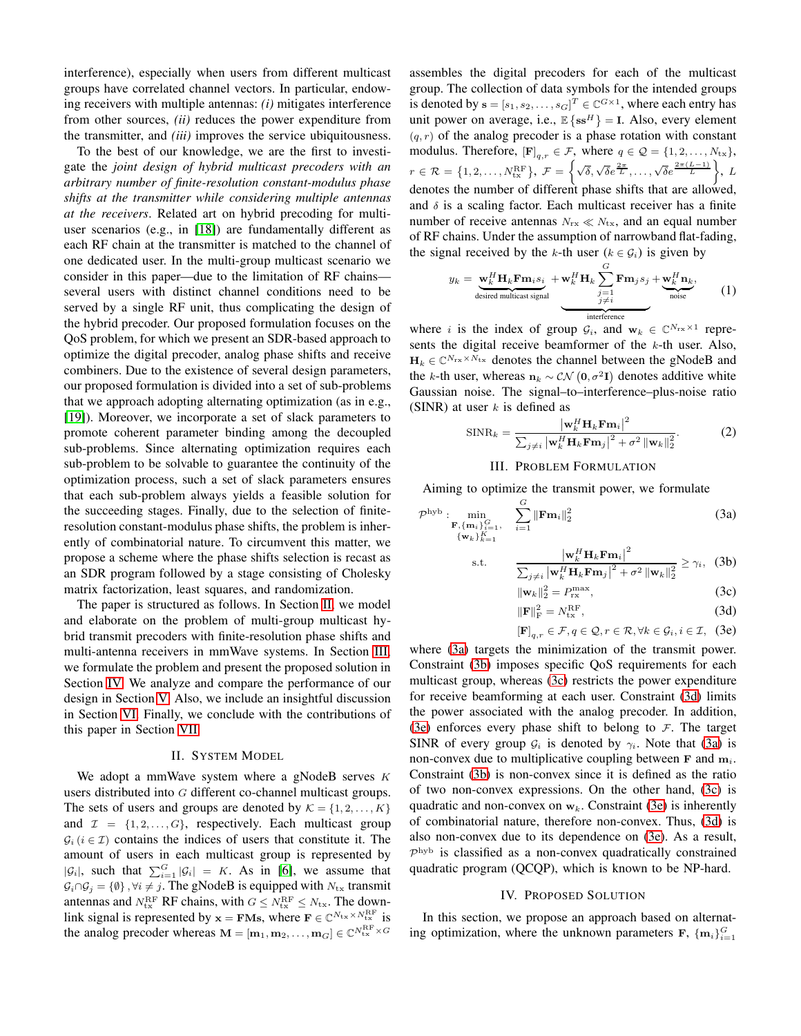interference), especially when users from different multicast groups have correlated channel vectors. In particular, endowing receivers with multiple antennas: *(i)* mitigates interference from other sources, *(ii)* reduces the power expenditure from the transmitter, and *(iii)* improves the service ubiquitousness.

To the best of our knowledge, we are the first to investigate the *joint design of hybrid multicast precoders with an arbitrary number of finite-resolution constant-modulus phase shifts at the transmitter while considering multiple antennas at the receivers*. Related art on hybrid precoding for multiuser scenarios (e.g., in [\[18\]](#page-6-15)) are fundamentally different as each RF chain at the transmitter is matched to the channel of one dedicated user. In the multi-group multicast scenario we consider in this paper—due to the limitation of RF chains several users with distinct channel conditions need to be served by a single RF unit, thus complicating the design of the hybrid precoder. Our proposed formulation focuses on the QoS problem, for which we present an SDR-based approach to optimize the digital precoder, analog phase shifts and receive combiners. Due to the existence of several design parameters, our proposed formulation is divided into a set of sub-problems that we approach adopting alternating optimization (as in e.g., [\[19\]](#page-7-0)). Moreover, we incorporate a set of slack parameters to promote coherent parameter binding among the decoupled sub-problems. Since alternating optimization requires each sub-problem to be solvable to guarantee the continuity of the optimization process, such a set of slack parameters ensures that each sub-problem always yields a feasible solution for the succeeding stages. Finally, due to the selection of finiteresolution constant-modulus phase shifts, the problem is inherently of combinatorial nature. To circumvent this matter, we propose a scheme where the phase shifts selection is recast as an SDR program followed by a stage consisting of Cholesky matrix factorization, least squares, and randomization.

The paper is structured as follows. In Section [II,](#page-1-0) we model and elaborate on the problem of multi-group multicast hybrid transmit precoders with finite-resolution phase shifts and multi-antenna receivers in mmWave systems. In Section [III,](#page-1-1) we formulate the problem and present the proposed solution in Section [IV.](#page-1-2) We analyze and compare the performance of our design in Section [V.](#page-3-0) Also, we include an insightful discussion in Section [VI.](#page-5-0) Finally, we conclude with the contributions of this paper in Section [VII.](#page-6-16)

# II. SYSTEM MODEL

<span id="page-1-0"></span>We adopt a mmWave system where a gNodeB serves  $K$ users distributed into G different co-channel multicast groups. The sets of users and groups are denoted by  $\mathcal{K} = \{1, 2, \ldots, K\}$ and  $\mathcal{I} = \{1, 2, \ldots, G\}$ , respectively. Each multicast group  $G_i$  ( $i \in \mathcal{I}$ ) contains the indices of users that constitute it. The amount of users in each multicast group is represented by  $|\mathcal{G}_i|$ , such that  $\sum_{i=1}^G |\mathcal{G}_i| = K$ . As in [\[6\]](#page-6-5), we assume that  $G_i \cap G_j = \{\emptyset\}, \forall i \neq j$ . The gNodeB is equipped with  $N_{tx}$  transmit antennas and  $N_{\text{tx}}^{\text{RF}}$  RF chains, with  $G \leq N_{\text{tx}}^{\text{RF}} \leq N_{\text{tx}}$ . The downlink signal is represented by  $\mathbf{x} = \mathbf{F} \mathbf{M} \mathbf{s}$ , where  $\mathbf{F} \in \mathbb{C}^{N_{\text{tx}} \times N_{\text{tx}}^{\text{RF}}}$  is the analog precoder whereas  $\mathbf{M} = [\mathbf{m}_1, \mathbf{m}_2, \dots, \mathbf{m}_G] \in \mathbb{C}^{N_{\text{tx}}^{\text{RF}} \times G}$ 

assembles the digital precoders for each of the multicast group. The collection of data symbols for the intended groups is denoted by  $\mathbf{s} = [s_1, s_2, \dots, s_G]^T \in \mathbb{C}^{G \times 1}$ , where each entry has unit power on average, i.e.,  $\mathbb{E}\left\{ \mathbf{s}\mathbf{s}^{H}\right\} = \mathbf{I}$ . Also, every element  $(q, r)$  of the analog precoder is a phase rotation with constant modulus. Therefore,  $\left[\mathbf{F}\right]_{q,r} \in \mathcal{F}$ , where  $q \in \mathcal{Q} = \{1, 2, \dots, N_{\text{tx}}\},$  $r \in \mathcal{R} = \left\{1, 2, \ldots, N_{\text{tx}}^{\text{RF}}\right\}, \mathcal{F} = \left\{\sqrt{\delta}, \sqrt{\delta}e^{\frac{2\pi}{L}}, \ldots, \sqrt{\delta}e^{\frac{2\pi(L-1)}{L}}\right\}, L$ denotes the number of different phase shifts that are allowed, and  $\delta$  is a scaling factor. Each multicast receiver has a finite number of receive antennas  $N_{rx} \ll N_{tx}$ , and an equal number of RF chains. Under the assumption of narrowband flat-fading, the signal received by the k-th user ( $k \in \mathcal{G}_i$ ) is given by

$$
y_k = \underbrace{\mathbf{w}_k^H \mathbf{H}_k \mathbf{F} \mathbf{m}_i s_i}_{\text{desired multicast signal}} + \underbrace{\mathbf{w}_k^H \mathbf{H}_k \sum_{\substack{j=1 \ j \neq i}}^G \mathbf{F} \mathbf{m}_j s_j}_{\text{interference}} + \underbrace{\mathbf{w}_k^H \mathbf{n}_k}_{\text{noise}},
$$
 (1)

where *i* is the index of group  $G_i$ , and  $w_k \in \mathbb{C}^{N_{\text{rx}} \times 1}$  represents the digital receive beamformer of the  $k$ -th user. Also,  $H_k \in \mathbb{C}^{N_{\text{rx}} \times N_{\text{tx}}}$  denotes the channel between the gNodeB and the k-th user, whereas  $n_k \sim \mathcal{CN}(\mathbf{0}, \sigma^2 \mathbf{I})$  denotes additive white Gaussian noise. The signal–to–interference–plus-noise ratio (SINR) at user  $k$  is defined as

$$
\text{SINR}_k = \frac{\left|\mathbf{w}_k^H \mathbf{H}_k \mathbf{F} \mathbf{m}_i\right|^2}{\sum_{j \neq i} \left|\mathbf{w}_k^H \mathbf{H}_k \mathbf{F} \mathbf{m}_j\right|^2 + \sigma^2 \left|\left|\mathbf{w}_k\right|\right|^2}.
$$
 (2)

# III. PROBLEM FORMULATION

<span id="page-1-1"></span>Aiming to optimize the transmit power, we formulate

s.

$$
\mathcal{P}^{\text{hyb}}: \min_{\substack{\mathbf{F}, \{\mathbf{m}_i\}_{i=1}^G, \\ {\{\mathbf{w}_k\}_{k=1}^K\}} \quad \sum_{i=1}^G \|\mathbf{F}\mathbf{m}_i\|_2^2 \tag{3a}
$$

t. 
$$
\frac{\left|\mathbf{w}_k^H \mathbf{H}_k \mathbf{F} \mathbf{m}_i\right|^2}{\sum_{j \neq i} \left|\mathbf{w}_k^H \mathbf{H}_k \mathbf{F} \mathbf{m}_j\right|^2 + \sigma^2 \left|\left|\mathbf{w}_k\right|\right|^2} \geq \gamma_i, \quad (3b)
$$

<span id="page-1-5"></span><span id="page-1-4"></span><span id="page-1-3"></span>
$$
\|\mathbf{w}_k\|_2^2 = P_{\text{rx}}^{\text{max}},\tag{3c}
$$

<span id="page-1-7"></span><span id="page-1-6"></span>
$$
\|\mathbf{F}\|_{\mathrm{F}}^2 = N_{\mathrm{tx}}^{\mathrm{RF}},\tag{3d}
$$

$$
[\mathbf{F}]_{q,r} \in \mathcal{F}, q \in \mathcal{Q}, r \in \mathcal{R}, \forall k \in \mathcal{G}_i, i \in \mathcal{I}, (3e)
$$

where [\(3a\)](#page-1-3) targets the minimization of the transmit power. Constraint [\(3b\)](#page-1-4) imposes specific QoS requirements for each multicast group, whereas [\(3c\)](#page-1-5) restricts the power expenditure for receive beamforming at each user. Constraint [\(3d\)](#page-1-6) limits the power associated with the analog precoder. In addition, [\(3e\)](#page-1-7) enforces every phase shift to belong to  $\mathcal F$ . The target SINR of every group  $G_i$  is denoted by  $\gamma_i$ . Note that [\(3a\)](#page-1-3) is non-convex due to multiplicative coupling between  $\bf{F}$  and  $\bf{m}_i$ . Constraint [\(3b\)](#page-1-4) is non-convex since it is defined as the ratio of two non-convex expressions. On the other hand, [\(3c\)](#page-1-5) is quadratic and non-convex on  $w_k$ . Constraint [\(3e\)](#page-1-7) is inherently of combinatorial nature, therefore non-convex. Thus, [\(3d\)](#page-1-6) is also non-convex due to its dependence on [\(3e\)](#page-1-7). As a result,  $\mathcal{P}^{\rm hyb}$  is classified as a non-convex quadratically constrained quadratic program (QCQP), which is known to be NP-hard.

# IV. PROPOSED SOLUTION

<span id="page-1-2"></span>In this section, we propose an approach based on alternating optimization, where the unknown parameters **F**,  $\{\mathbf{m}_i\}_{i=1}^G$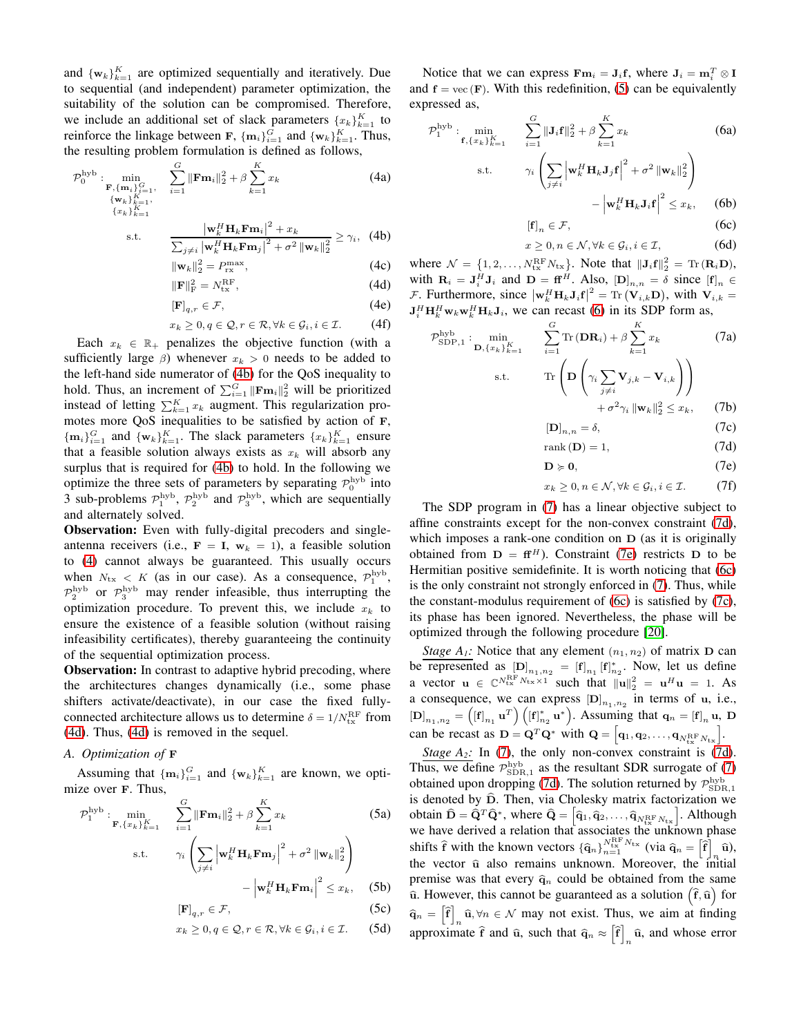and  $\{w_k\}_{k=1}^K$  are optimized sequentially and iteratively. Due to sequential (and independent) parameter optimization, the suitability of the solution can be compromised. Therefore, we include an additional set of slack parameters  $\{x_k\}_{k=1}^K$  to reinforce the linkage between **F**,  ${m_i}_{i=1}^G$  and  ${w_k}_{k=1}^K$ . Thus, the resulting problem formulation is defined as follows,

$$
\mathcal{P}_0^{\text{hyb}}: \min_{\substack{\mathbf{F}, \{\mathbf{m}_i\}_{i=1}^G, \\ \{\mathbf{w}_k\}_{k=1}^K, \\ \{x_k\}_{k=1}^K}} \sum_{i=1}^G \|\mathbf{F}\mathbf{m}_i\|_2^2 + \beta \sum_{k=1}^K x_k
$$
(4a)  

$$
\sum_{\{x_k\}_{k=1}^K} \frac{|\mathbf{w}_k^H \mathbf{H}_k \mathbf{F} \mathbf{m}_i|^2 + x_k}{|\mathbf{w}_k^H \mathbf{H}_k \mathbf{F} \mathbf{m}_i|^2 + x_k} \geq \gamma_i, \quad (4b)
$$

$$
\text{...} \qquad \frac{\left|\mathbf{w}_k\right| \mathbf{H}_k \mathbf{H}_{\mathit{H}} \left|\mathbf{m}_k^H \mathbf{H}_k \mathbf{H}_{\mathit{H}}\right|^{2} + \sigma^2 \left|\left|\mathbf{w}_k\right|\right|_{2}^{2}}{\sum_{j \neq i} \left|\mathbf{w}_k^H \mathbf{H}_k \mathbf{F} \mathbf{m}_j\right|^{2} + \sigma^2 \left|\left|\mathbf{w}_k\right|\right|_{2}^{2}} \geq \gamma_i, \quad (4b)
$$

$$
\|\mathbf{w}_k\|_2^2 = P_{\text{rx}}^{\text{max}},\tag{4c}
$$

$$
\|\mathbf{F}\|_{\mathrm{F}}^2 = N_{\mathrm{tx}}^{\mathrm{RF}},\tag{4d}
$$

$$
\left[\mathbf{F}\right]_{q,r}\in\mathcal{F},\tag{4e}
$$

$$
x_k \ge 0, q \in \mathcal{Q}, r \in \mathcal{R}, \forall k \in \mathcal{G}_i, i \in \mathcal{I}.\tag{4f}
$$

Each  $x_k \in \mathbb{R}_+$  penalizes the objective function (with a sufficiently large  $\beta$ ) whenever  $x_k > 0$  needs to be added to the left-hand side numerator of [\(4b\)](#page-2-0) for the QoS inequality to hold. Thus, an increment of  $\sum_{i=1}^{G} || \mathbf{F} \mathbf{m}_i ||_2^2$  will be prioritized instead of letting  $\sum_{k=1}^{K} x_k$  augment. This regularization promotes more QoS inequalities to be satisfied by action of F,  ${m_i}_{i=1}^G$  and  ${w_k}_{k=1}^K$ . The slack parameters  ${x_k}_{k=1}^K$  ensure that a feasible solution always exists as  $x_k$  will absorb any surplus that is required for [\(4b\)](#page-2-0) to hold. In the following we optimize the three sets of parameters by separating  $\mathcal{P}_0^{\text{hyb}}$  into 3 sub-problems  $\mathcal{P}_1^{\text{hyb}}$ ,  $\mathcal{P}_2^{\text{hyb}}$  and  $\mathcal{P}_3^{\text{hyb}}$ , which are sequentially and alternately solved.

Observation: Even with fully-digital precoders and singleantenna receivers (i.e.,  $F = I$ ,  $w_k = 1$ ), a feasible solution to [\(4\)](#page-2-1) cannot always be guaranteed. This usually occurs when  $N_{\text{tx}} < K$  (as in our case). As a consequence,  $\mathcal{P}_1^{\text{hyb}}$ ,  $\mathcal{P}_2^{\text{hyb}}$  or  $\mathcal{P}_3^{\text{hyb}}$  may render infeasible, thus interrupting the optimization procedure. To prevent this, we include  $x_k$  to ensure the existence of a feasible solution (without raising infeasibility certificates), thereby guaranteeing the continuity of the sequential optimization process.

Observation: In contrast to adaptive hybrid precoding, where the architectures changes dynamically (i.e., some phase shifters activate/deactivate), in our case the fixed fullyconnected architecture allows us to determine  $\delta = 1/N_{\text{tx}}^{\text{RF}}$  from [\(4d\)](#page-2-2). Thus, [\(4d\)](#page-2-2) is removed in the sequel.

# *A. Optimization of* F

Assuming that  ${m_i}_{i=1}^G$  and  ${w_k}_{k=1}^K$  are known, we optimize over F. Thus,

<span id="page-2-3"></span>
$$
\mathcal{P}_{1}^{\text{hyb}}: \min_{\mathbf{F}, \{x_{k}\}_{k=1}^{K}} \quad \sum_{i=1}^{G} \|\mathbf{F}\mathbf{m}_{i}\|_{2}^{2} + \beta \sum_{k=1}^{K} x_{k}
$$
\n
$$
\text{s.t.} \quad \gamma_{i} \left( \sum_{j \neq i} \left| \mathbf{w}_{k}^{H} \mathbf{H}_{k} \mathbf{F} \mathbf{m}_{j} \right|^{2} + \sigma^{2} \left\| \mathbf{w}_{k} \right\|_{2}^{2} \right)
$$
\n
$$
- \left| \mathbf{w}_{k}^{H} \mathbf{H}_{k} \mathbf{F} \mathbf{m}_{i} \right|^{2} \leq x_{k}, \quad \text{(5b)}
$$

$$
\left[\mathbf{F}\right]_{q,r} \in \mathcal{F},\tag{5c}
$$

$$
x_k \geq 0, q \in \mathcal{Q}, r \in \mathcal{R}, \forall k \in \mathcal{G}_i, i \in \mathcal{I}.\tag{5d}
$$

Notice that we can express  $\mathbf{Fm}_i = \mathbf{J}_i \mathbf{f}$ , where  $\mathbf{J}_i = \mathbf{m}_i^T \otimes \mathbf{I}$ and  $f = \text{vec}(F)$ . With this redefinition, [\(5\)](#page-2-3) can be equivalently expressed as,

<span id="page-2-4"></span><span id="page-2-1"></span>
$$
\mathcal{P}_1^{\text{hyb}}: \min_{\mathbf{f}, \{x_k\}_{k=1}^K} \quad \sum_{i=1}^G \|\mathbf{J}_i \mathbf{f}\|_2^2 + \beta \sum_{k=1}^K x_k \tag{6a}
$$
\n
$$
\text{s.t.} \quad \gamma_i \left( \sum_{j \neq i} \left| \mathbf{w}_k^H \mathbf{H}_k \mathbf{J}_j \mathbf{f} \right|^2 + \sigma^2 \left\| \mathbf{w}_k \right\|_2^2 \right) - \left| \mathbf{w}_k^H \mathbf{H}_k \mathbf{J}_i \mathbf{f} \right|^2 \le x_k, \tag{6b}
$$

<span id="page-2-8"></span>
$$
\left[\mathbf{f}\right]_n \in \mathcal{F},\tag{6c}
$$

$$
x \ge 0, n \in \mathcal{N}, \forall k \in \mathcal{G}_i, i \in \mathcal{I}, \tag{6d}
$$

<span id="page-2-2"></span><span id="page-2-0"></span>where  $\mathcal{N} = \{1, 2, ..., N_{\text{tx}}^{\text{RF}} N_{\text{tx}}\}\.$  Note that  $\|\mathbf{J}_{i}\mathbf{f}\|_{2}^{2} = \text{Tr}(\mathbf{R}_{i}\mathbf{D})$ , with  $\mathbf{R}_i = \mathbf{J}_i^H \mathbf{J}_i$  and  $\mathbf{D} = \mathbf{f}^H$ . Also,  $[\mathbf{D}]_{n,n} = \delta$  since  $[\mathbf{f}]_n \in$ *F*. Furthermore, since  $|\mathbf{w}_k^H \mathbf{H}_k \mathbf{J}_i \mathbf{f}|^2 = \text{Tr}(\mathbf{V}_{i,k} \mathbf{D})$ , with  $\mathbf{V}_{i,k} =$  $J_i^H H_k^H w_k w_k^H H_k J_i$ , we can recast [\(6\)](#page-2-4) in its SDP form as,

$$
\mathcal{P}_{\text{SDP},1}^{\text{hyb}}: \min_{\mathbf{D}, \{x_k\}_{k=1}^K} \quad \sum_{i=1}^G \text{Tr}(\mathbf{D}\mathbf{R}_i) + \beta \sum_{k=1}^K x_k \quad (7a)
$$
\n
$$
\text{s.t.} \quad \text{Tr}\left(\mathbf{D}\left(\gamma_i \sum_{j \neq i} \mathbf{V}_{j,k} - \mathbf{V}_{i,k}\right)\right)
$$

<span id="page-2-9"></span><span id="page-2-7"></span><span id="page-2-6"></span><span id="page-2-5"></span>
$$
+ \sigma^2 \gamma_i \| \mathbf{w}_k \|_2^2 \leq x_k, \qquad \text{(7b)}
$$

$$
[\mathbf{D}]_{n,n} = \delta,\tag{7c}
$$

$$
rank\left(\mathbf{D}\right) = 1,\tag{7d}
$$

$$
\mathbf{D}\succcurlyeq\mathbf{0},\tag{7e}
$$

$$
x_k \ge 0, n \in \mathcal{N}, \forall k \in \mathcal{G}_i, i \in \mathcal{I}.\tag{7f}
$$

The SDP program in [\(7\)](#page-2-5) has a linear objective subject to affine constraints except for the non-convex constraint [\(7d\)](#page-2-6), which imposes a rank-one condition on  $D$  (as it is originally obtained from  $D = ff<sup>H</sup>$ ). Constraint [\(7e\)](#page-2-7) restricts D to be Hermitian positive semidefinite. It is worth noticing that [\(6c\)](#page-2-8) is the only constraint not strongly enforced in [\(7\)](#page-2-5). Thus, while the constant-modulus requirement of [\(6c\)](#page-2-8) is satisfied by [\(7c\)](#page-2-9), its phase has been ignored. Nevertheless, the phase will be optimized through the following procedure [\[20\]](#page-7-1).

*Stage A<sub>1</sub>*: Notice that any element  $(n_1, n_2)$  of matrix **D** can be represented as  $[D]_{n_1,n_2} = [f]_{n_1} [f]_{n_2}^*$ . Now, let us define a vector  $\mathbf{u} \in \mathbb{C}^{N_{\text{tx}}^{\text{RF}} N_{\text{tx}} \times 1}$  such that  $\|\mathbf{u}\|_{2}^{2} = \mathbf{u}^{H} \mathbf{u} = 1$ . As a consequence, we can express  $[D]_{n_1,n_2}$  in terms of u, i.e.,  $\left[\mathbf{D}\right]_{n_1,n_2} = \left(\left[\mathbf{f}\right]_{n_1} \mathbf{u}^T\right) \left(\left[\mathbf{f}\right]_{n_2}^* \mathbf{u}^*\right)$ . Assuming that  $\mathbf{q}_n = \left[\mathbf{f}\right]_n \mathbf{u}$ ,  $\mathbf{D}$ can be recast as  $\mathbf{D} = \mathbf{Q}^T \mathbf{Q}^*$  with  $\mathbf{Q} = [\mathbf{q}_1, \mathbf{q}_2, \dots, \mathbf{q}_{N_{\text{tx}}^{\text{RF}} N_{\text{tx}}}]$ .

<span id="page-2-10"></span>*Stage A<sub>2</sub>*: In [\(7\)](#page-2-5), the only non-convex constraint is [\(7d\)](#page-2-6). Thus, we define  $P_{SDR,1}^{hyb}$  as the resultant SDR surrogate of [\(7\)](#page-2-5) obtained upon dropping [\(7d\)](#page-2-6). The solution returned by  $\mathcal{P}_{\text{SDR},1}^{\text{hyb}}$ is denoted by  $\hat{D}$ . Then, via Cholesky matrix factorization we obtain  $\widehat{\mathbf{D}} = \widehat{\mathbf{Q}}^T \widehat{\mathbf{Q}}^*$ , where  $\widehat{\mathbf{Q}} = \left[ \widehat{\mathbf{q}}_1, \widehat{\mathbf{q}}_2, \dots, \widehat{\mathbf{q}}_{N_{\text{tx}}^{\text{RF}} N_{\text{tx}}} \right]$ . Although we have derived a relation that associates the unknown phase shifts  $\hat{\mathbf{f}}$  with the known vectors  $\{\hat{\mathbf{q}}_n\}_{n=1}^{N_{\text{tx}}^{\text{RF}}N_{\text{tx}}}$  (via  $\hat{\mathbf{q}}_n = \begin{bmatrix} \hat{\mathbf{f}} \end{bmatrix}$  $\hat{\mathbf{u}}),$ the vector  $\hat{u}$  also remains unknown. Moreover, the initial premise was that every  $\hat{q}_n$  could be obtained from the same  $\hat{u}$ . However, this cannot be guaranteed as a solution  $(\hat{f}, \hat{u})$  for  $\hat{\mathbf{q}}_n = \left[\hat{\mathbf{f}}\right]_n \hat{\mathbf{u}}, \forall n \in \mathcal{N}$  may not exist. Thus, we aim at finding approximate  $\hat{\mathbf{f}}$  and  $\hat{\mathbf{u}}$ , such that  $\hat{\mathbf{q}}_n \approx \begin{bmatrix} \hat{\mathbf{f}} \end{bmatrix}$  $\hat{u}$ , and whose error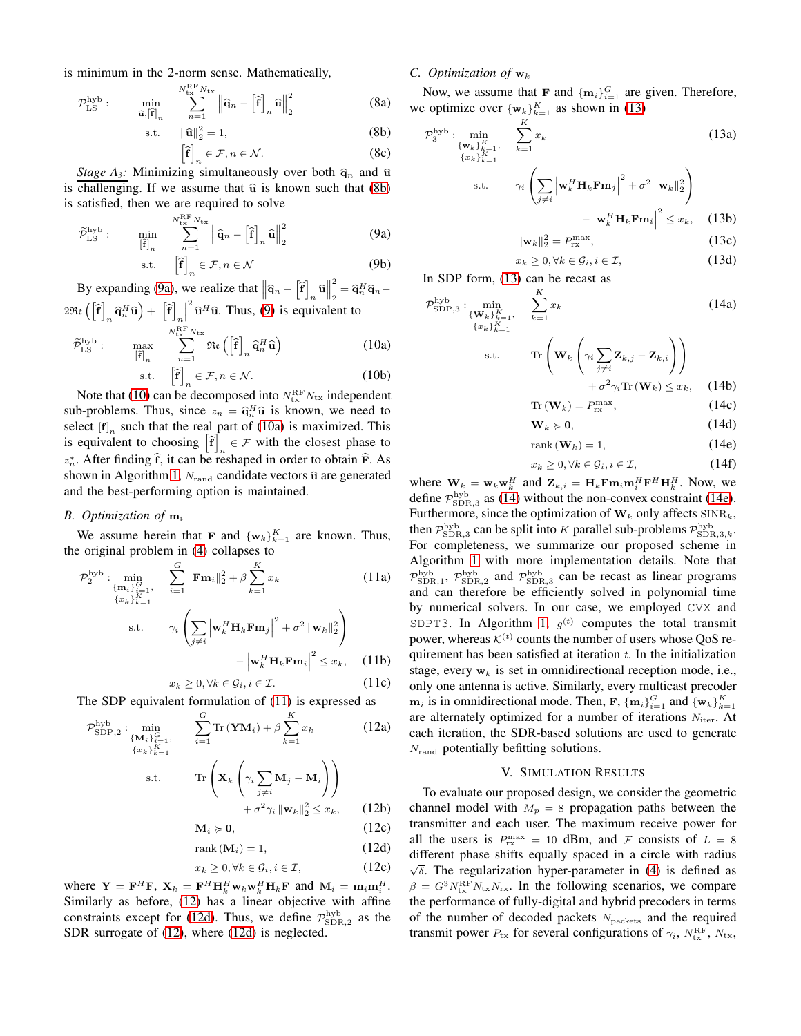is minimum in the 2-norm sense. Mathematically,  $\sqrt{R}$ R $\overline{F}$ 

$$
\mathcal{P}_{\text{LS}}^{\text{hyb}}: \qquad \min_{\widehat{\mathbf{u}}, [\widehat{\mathbf{f}}]_n} \qquad \sum_{n=1}^{N_{\text{tx}}^{\text{RF}} N_{\text{tx}}} \left\| \widehat{\mathbf{q}}_n - \widehat{\mathbf{f}} \right\|_2^2 \tag{8a}
$$

s.t.  $\|\hat{\mathbf{u}}\|_2^2 = 1$ , (8b)

<span id="page-3-3"></span>
$$
\left[\widehat{\mathbf{f}}\right]_n \in \mathcal{F}, n \in \mathcal{N}.\tag{8c}
$$

*Stage A<sub>3</sub>*: Minimizing simultaneously over both  $\hat{q}_n$  and  $\hat{u}$ is challenging. If we assume that  $\hat{u}$  is known such that [\(8b\)](#page-3-1) is satisfied, then we are required to solve

$$
\widetilde{\mathcal{P}}_{\text{LS}}^{\text{hyb}}: \qquad \min_{\left[\widehat{\mathbf{f}}\right]_n} \quad \sum_{n=1}^{N_{\text{tx}}^{\text{RF}} N_{\text{tx}}} \left\| \widehat{\mathbf{q}}_n - \left[\widehat{\mathbf{f}}\right]_n \widehat{\mathbf{u}} \right\|_2^2 \tag{9a}
$$

$$
\text{s.t.} \quad \left[\hat{\mathbf{f}}\right]_n \in \mathcal{F}, n \in \mathcal{N} \tag{9b}
$$

By expanding [\(9a\)](#page-3-2), we realize that  $\left\|\widehat{\mathbf{q}}_n - \widehat{\mathbf{f}}\right\|$  $\hat{u}$ 2  $\frac{2}{2} = \widehat{\mathbf{q}}_n^H \widehat{\mathbf{q}}_n 2\mathfrak{Re}\left(\left\lceil\widehat{\mathbf{f}}\right\rceil\right)$  $\frac{\widehat{\mathbf{q}}_n^H\widehat{\mathbf{u}}}{n} + \left| \frac{\widehat{\mathbf{q}}_n^H\widehat{\mathbf{u}}}{n} \right|$  $\begin{bmatrix} \widehat{\mathbf{f}} \end{bmatrix}$ n  $\begin{array}{c} \begin{array}{c} \begin{array}{c} \end{array} \\ \begin{array}{c} \end{array} \end{array} \end{array}$  $\hat{\mathbf{u}}^H \hat{\mathbf{u}}$ . Thus, [\(9\)](#page-3-3) is equivalent to

$$
\widetilde{\mathcal{P}}_{\text{LS}}^{\text{hyb}}: \max_{\begin{bmatrix} \widehat{\mathbf{f}} \end{bmatrix}_n} \sum_{n=1}^{N_{\text{tx}}^{\text{RF}} N_{\text{tx}}} \Re\left( \begin{bmatrix} \widehat{\mathbf{f}} \end{bmatrix}_n \widehat{\mathbf{q}}_n^H \widehat{\mathbf{u}} \right) \tag{10a}
$$

$$
\text{s.t.} \quad \left[\widehat{\mathbf{f}}\right]_n \in \mathcal{F}, n \in \mathcal{N}.\tag{10b}
$$

Note that [\(10\)](#page-3-4) can be decomposed into  $N_{\text{tx}}^{\text{RF}} N_{\text{tx}}$  independent sub-problems. Thus, since  $z_n = \hat{q}_n^H \hat{u}$  is known, we need to select  $[f]_n$  such that the real part of [\(10a\)](#page-3-5) is maximized. This is equivalent to choosing  $\left[\hat{\mathbf{f}}\right]$  $n \in \mathcal{F}$  with the closest phase to  $z_n^*$ . After finding  $\hat{f}$ , it can be reshaped in order to obtain  $\hat{F}$ . As shown in Algorithm [1,](#page-4-0)  $N_{\text{rand}}$  candidate vectors  $\hat{u}$  are generated and the best-performing option is maintained.

# *B. Optimization of* m<sup>i</sup>

We assume herein that **F** and  $\{w_k\}_{k=1}^K$  are known. Thus, the original problem in [\(4\)](#page-2-1) collapses to

$$
\mathcal{P}_{2}^{\text{hyb}}: \min_{\{\mathbf{m}_{i}\}_{k=1}^{G}\atop{\{x_{k}\}_{k=1}^{K}}}\sum_{i=1}^{G} \|\mathbf{F}\mathbf{m}_{i}\|_{2}^{2} + \beta \sum_{k=1}^{K} x_{k}
$$
\n(11a)\n  
\n
$$
\text{s.t.}\qquad \gamma_{i} \left(\sum \left|\mathbf{w}_{k}^{H} \mathbf{H}_{k} \mathbf{F} \mathbf{m}_{j}\right|^{2} + \sigma^{2} \left|\left|\mathbf{w}_{k}\right|\right|_{2}^{2}\right)
$$

$$
\gamma_i \left( \sum_{j \neq i} \left| \mathbf{w}_k^H \mathbf{H}_k \mathbf{F} \mathbf{m}_j \right|^2 + \sigma^2 \left\| \mathbf{w}_k \right\|_2^2 \right) - \left| \mathbf{w}_k^H \mathbf{H}_k \mathbf{F} \mathbf{m}_i \right|^2 \leq x_k, \quad (11b)
$$

$$
x_k \ge 0, \forall k \in \mathcal{G}_i, i \in \mathcal{I}.\tag{11c}
$$

The SDP equivalent formulation of [\(11\)](#page-3-6) is expressed as

$$
\mathcal{P}_{\text{SDP},2}^{\text{hyb}}: \min_{\{M_i\}_{i=1}^G, \atop \{x_k\}_{k=1}^K} \sum_{i=1}^G \text{Tr}\left(\mathbf{Y} \mathbf{M}_i\right) + \beta \sum_{k=1}^K x_k \qquad (12a)
$$
\n
$$
\text{s.t.} \qquad \text{Tr}\left(\mathbf{X}_k \left(\gamma_i \sum_{j \neq i} \mathbf{M}_j - \mathbf{M}_i\right)\right) + \sigma^2 \gamma_i \|\mathbf{w}_k\|_2^2 \le x_k, \qquad (12b)
$$

$$
\mathbf{M}_i \succcurlyeq \mathbf{0},\tag{12c}
$$

$$
rank(\mathbf{M}_i) = 1,\tag{12d}
$$

$$
\begin{array}{c}\n \ddots & \ddots & \ddots \\
\hline\n \end{array}
$$

$$
x_k \ge 0, \forall k \in \mathcal{G}_i, i \in \mathcal{I}, \tag{12e}
$$

where  $\mathbf{Y} = \mathbf{F}^H \mathbf{F}$ ,  $\mathbf{X}_k = \mathbf{F}^H \mathbf{H}_k^H \mathbf{w}_k \mathbf{w}_k^H \mathbf{H}_k \mathbf{F}$  and  $\mathbf{M}_i = \mathbf{m}_i \mathbf{m}_i^H$ . Similarly as before, [\(12\)](#page-3-7) has a linear objective with affine constraints except for [\(12d\)](#page-3-8). Thus, we define  $\mathcal{P}_{SDR,2}^{hyb}$  as the SDR surrogate of [\(12\)](#page-3-7), where [\(12d\)](#page-3-8) is neglected.

# *C. Optimization of*  $w_k$

<span id="page-3-1"></span>Now, we assume that **F** and  $\{m_i\}_{i=1}^G$  are given. Therefore, we optimize over  $\{w_k\}_{k=1}^K$  as shown in [\(13\)](#page-3-9)

$$
\mathcal{P}_{3}^{\text{hyb}} : \min_{\{w_{k}\}_{k=1}^{K}, \atop \{x_{k}\}_{k=1}^{K}} \sum_{k=1}^{K} x_{k}
$$
\n
$$
\text{s.t.} \quad \gamma_{i} \left( \sum_{j \neq i} \left| \mathbf{w}_{k}^{H} \mathbf{H}_{k} \mathbf{F} \mathbf{m}_{j} \right|^{2} + \sigma^{2} \left\| \mathbf{w}_{k} \right\|_{2}^{2} \right) - \left| \mathbf{w}_{k}^{H} \mathbf{H}_{k} \mathbf{F} \mathbf{m}_{i} \right|^{2} \leq x_{k}, \quad (13b)
$$

<span id="page-3-10"></span><span id="page-3-9"></span>
$$
-\left|\mathbf{w}_{k}^{H}\mathbf{H}_{k}\mathbf{F}\mathbf{m}_{i}\right|^{2} \leq x_{k}, \quad (13b)
$$

$$
\mathbf{w}_{k}^{2} = p^{\max} \tag{13c}
$$

$$
\|\mathbf{w}_k\|_2^2 = P_{\text{rx}}^{\text{max}},\tag{13c}
$$

$$
x_k \ge 0, \forall k \in \mathcal{G}_i, i \in \mathcal{I}, \tag{13d}
$$

<span id="page-3-2"></span>In SDP form, [\(13\)](#page-3-9) can be recast as

<span id="page-3-5"></span><span id="page-3-4"></span>
$$
\mathcal{P}_{\text{SDP},3}^{\text{hyb}}: \min_{\{w_k\}_{k=1}^K, \atop \{x_k\}_{k=1}^K} \sum_{k=1}^K x_k
$$
\n(14a)

s.t. 
$$
\operatorname{Tr}\left(\mathbf{W}_{k}\left(\gamma_{i}\sum_{j\neq i}\mathbf{Z}_{k,j}-\mathbf{Z}_{k,i}\right)\right) + \sigma^{2}\gamma_{i}\operatorname{Tr}\left(\mathbf{W}_{k}\right) \leq x_{k}, \quad (14b)
$$

$$
Tr\left(\mathbf{W}_{k}\right) = P_{rx}^{\max},\tag{14c}
$$

<span id="page-3-11"></span>
$$
\mathbf{W}_k \succcurlyeq \mathbf{0},\tag{14d}
$$

$$
rank(\mathbf{W}_k) = 1, \tag{14e}
$$

$$
x_k \ge 0, \forall k \in \mathcal{G}_i, i \in \mathcal{I},\tag{14f}
$$

<span id="page-3-6"></span>where  $W_k = w_k w_k^H$  and  $Z_{k,i} = H_k F m_i m_i^H F^H H_k^H$ . Now, we define  $\mathcal{P}_{SDR,3}^{hyb}$  as [\(14\)](#page-3-10) without the non-convex constraint [\(14e\)](#page-3-11). Furthermore, since the optimization of  $W_k$  only affects  $\text{SINR}_k$ , then  $\mathcal{P}_{\text{SDR},3}^{\text{hyb}}$  can be split into K parallel sub-problems  $\mathcal{P}_{\text{SDR},3,k}^{\text{hyb}}$ . For completeness, we summarize our proposed scheme in Algorithm [1](#page-4-0) with more implementation details. Note that  $\mathcal{P}_{SDR,1}^{hyb}$ ,  $\mathcal{P}_{SDR,2}^{hyb}$  and  $\mathcal{P}_{SDR,3}^{hyb}$  can be recast as linear programs and can therefore be efficiently solved in polynomial time by numerical solvers. In our case, we employed CVX and SDPT3. In Algorithm [1,](#page-4-0)  $g^{(t)}$  computes the total transmit power, whereas  $K^{(t)}$  counts the number of users whose QoS requirement has been satisfied at iteration  $t$ . In the initialization stage, every  $w_k$  is set in omnidirectional reception mode, i.e., only one antenna is active. Similarly, every multicast precoder  $m_i$  is in omnidirectional mode. Then, F,  ${m_i}_{i=1}^G$  and  ${w_k}_{k=1}^K$ are alternately optimized for a number of iterations  $N_{\text{iter}}$ . At each iteration, the SDR-based solutions are used to generate  $N_{\text{rand}}$  potentially befitting solutions.

#### V. SIMULATION RESULTS

<span id="page-3-8"></span><span id="page-3-7"></span><span id="page-3-0"></span>To evaluate our proposed design, we consider the geometric channel model with  $M_p = 8$  propagation paths between the transmitter and each user. The maximum receive power for all the users is  $P_{\text{rx}}^{\text{max}} = 10$  dBm, and  $\mathcal F$  consists of  $L = 8$ different phase shifts equally spaced in a circle with radius  $\sqrt{\delta}$ . The regularization hyper-parameter in [\(4\)](#page-2-1) is defined as  $\beta = G^3 N_{\text{tx}}^{\text{RF}} N_{\text{tx}} N_{\text{rx}}$ . In the following scenarios, we compare the performance of fully-digital and hybrid precoders in terms of the number of decoded packets  $N<sub>packets</sub>$  and the required transmit power  $P_{\text{tx}}$  for several configurations of  $\gamma_i$ ,  $N_{\text{tx}}^{\text{RF}}$ ,  $N_{\text{tx}}$ ,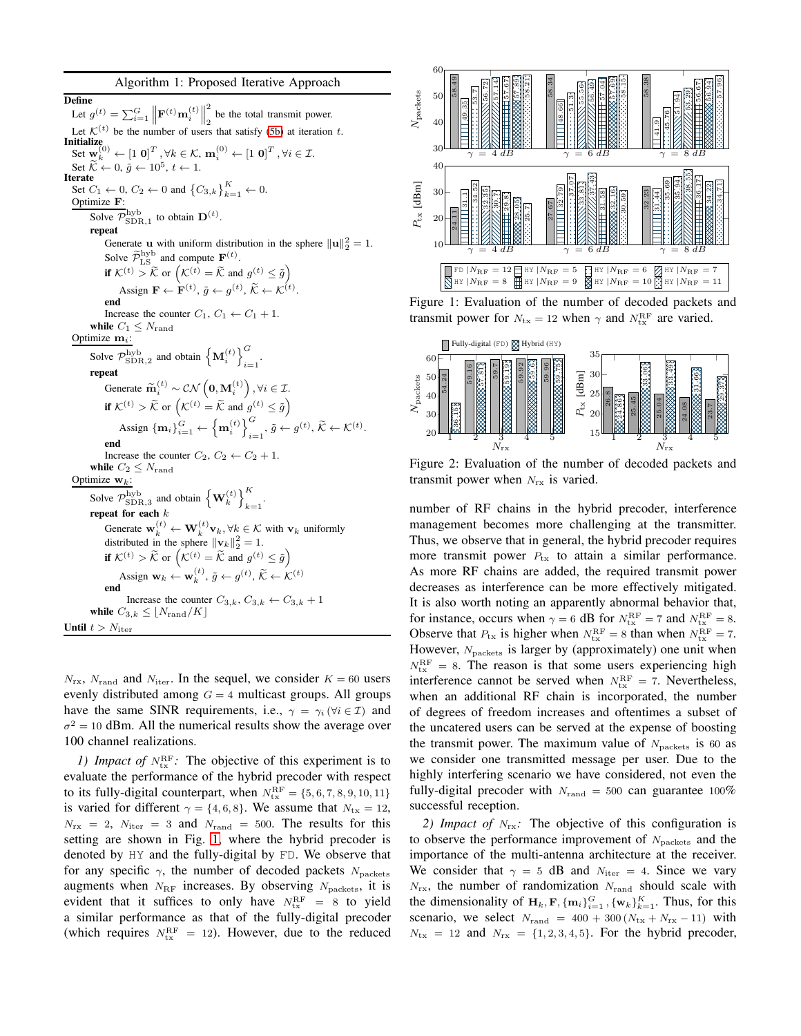Algorithm 1: Proposed Iterative Approach

<span id="page-4-0"></span>Define Let  $g^{(t)} = \sum_{i=1}^{G} \left\| \mathbf{F}^{(t)} \mathbf{m}_i^{(t)} \right\|$ 2 be the total transmit power. Let  $K^{(t)}$  be the number of users that satisfy [\(5b\)](#page-2-10) at iteration t. Initialize Set  $\mathbf{w}_k^{(0)} \leftarrow [1 \; \mathbf{0}]^T$  ,  $\forall k \in \mathcal{K}$ ,  $\mathbf{m}_i^{(0)} \leftarrow [1 \; \mathbf{0}]^T$  ,  $\forall i \in \mathcal{I}$ . Set  $\tilde{\mathcal{K}} \leftarrow 0$ ,  $\tilde{g} \leftarrow 10^5$ ,  $t \leftarrow 1$ . Iterate Set  $C_1 \leftarrow 0, C_2 \leftarrow 0$  and  $\{C_{3,k}\}_{k=1}^K \leftarrow 0$ . Optimize F: Solve  $\mathcal{P}_{SDR,1}^{hyb}$  to obtain  $\mathbf{D}^{(t)}$ . repeat Generate **u** with uniform distribution in the sphere  $||\mathbf{u}||_2^2 = 1$ . Solve  $\widetilde{\mathcal{P}}_{\text{LS}}^{\text{hyb}}$  and compute  $\mathbf{F}^{(t)}$ . if  $K^{(t)} > \widetilde{K}$  or  $\left(K^{(t)} = \widetilde{K} \text{ and } g^{(t)} \leq \tilde{g}\right)$ Assign  $\mathbf{F} \leftarrow \mathbf{F}^{(t)}$ ,  $\tilde{g} \leftarrow g^{(t)}$ ,  $\tilde{\mathcal{K}} \leftarrow \mathcal{K}^{(t)}$ . end Increase the counter  $C_1$ ,  $C_1 \leftarrow C_1 + 1$ . while  $C_1 \leq N_{\text{rand}}$ Optimize  $m_i$ : Solve  $\mathcal{P}_{SDR,2}^{\text{hyb}}$  and obtain  $\left\{ \mathbf{M}_{i}^{(t)} \right\}_{i=1}^{G}$  $i=1$ repeat Generate  $\widetilde{\mathbf{m}}_i^{(t)} \sim \mathcal{CN}\left(\mathbf{0}, \mathbf{M}_i^{(t)}\right), \forall i \in \mathcal{I}$ . if  $\mathcal{K}^{(t)} > \widetilde{\mathcal{K}}$  or  $\left(\mathcal{K}^{(t)} = \widetilde{\mathcal{K}}$  and  $g^{(t)} \leq \tilde{g}\right)$ Assign  ${\{\mathbf{m}_i\}}_{i=1}^G \leftarrow {\left\{\mathbf{m}_i^{(t)}\right\}}_{i=1}^G$  $\sum_{i=1}^{\infty}$ ,  $\tilde{g} \leftarrow g^{(t)}$ ,  $\tilde{\mathcal{K}} \leftarrow \mathcal{K}^{(t)}$ . end Increase the counter  $C_2$ ,  $C_2 \leftarrow C_2 + 1$ . while  $C_2\leq N_\text{rand}$ Optimize  $w_k$ : Solve  $\mathcal{P}_{\text{SDR},3}^{\text{hyb}}$  and obtain  $\left\{\mathbf{W}_k^{(t)}\right\}_{k=1}^K$  $k=1$ repeat for each  $\boldsymbol{k}$ Generate  $\mathbf{w}_k^{(t)} \leftarrow \mathbf{W}_k^{(t)} \mathbf{v}_k, \forall k \in \mathcal{K}$  with  $\mathbf{v}_k$  uniformly distributed in the sphere  $\|\mathbf{v}_k\|_2^2 = 1$ . if  $K^{(t)} > \widetilde{K}$  or  $\left(K^{(t)} = \widetilde{K} \text{ and } g^{(t)} \leq \tilde{g}\right)$ Assign  $\mathbf{w}_k \leftarrow \mathbf{w}_k^{(t)}, \tilde{g} \leftarrow g^{(t)}, \tilde{\mathcal{K}} \leftarrow \mathcal{K}^{(t)}$ end Increase the counter  $C_{3,k}$ ,  $C_{3,k} \leftarrow C_{3,k} + 1$ while  $C_{3,k} \leq \lfloor N_{\text{rand}}/K \rfloor$ Until  $t > N_{\text{iter}}$ 

 $N_{\rm rx}$ ,  $N_{\rm rand}$  and  $N_{\rm iter}$ . In the sequel, we consider  $K = 60$  users evenly distributed among  $G = 4$  multicast groups. All groups have the same SINR requirements, i.e.,  $\gamma = \gamma_i$  ( $\forall i \in \mathcal{I}$ ) and  $\sigma^2 = 10$  dBm. All the numerical results show the average over 100 channel realizations.

*1) Impact of*  $N_{\text{tx}}^{\text{RF}}$ : The objective of this experiment is to evaluate the performance of the hybrid precoder with respect to its fully-digital counterpart, when  $N_{\text{tx}}^{\text{RF}} = \{5, 6, 7, 8, 9, 10, 11\}$ is varied for different  $\gamma = \{4, 6, 8\}$ . We assume that  $N_{\text{tx}} = 12$ ,  $N_{\text{rx}} = 2$ ,  $N_{\text{iter}} = 3$  and  $N_{\text{rand}} = 500$ . The results for this setting are shown in Fig. [1,](#page-4-1) where the hybrid precoder is denoted by HY and the fully-digital by FD. We observe that for any specific  $\gamma$ , the number of decoded packets  $N_{\text{packets}}$ augments when  $N_{\text{RF}}$  increases. By observing  $N_{\text{packets}}$ , it is evident that it suffices to only have  $N_{\text{tx}}^{\text{RF}} = 8$  to yield a similar performance as that of the fully-digital precoder (which requires  $N_{\text{tx}}^{\text{RF}} = 12$ ). However, due to the reduced

<span id="page-4-1"></span>

Figure 1: Evaluation of the number of decoded packets and transmit power for  $N_{\text{tx}} = 12$  when  $\gamma$  and  $N_{\text{tx}}^{\text{RF}}$  are varied.

<span id="page-4-2"></span>

Figure 2: Evaluation of the number of decoded packets and transmit power when  $N_{rx}$  is varied.

number of RF chains in the hybrid precoder, interference management becomes more challenging at the transmitter. Thus, we observe that in general, the hybrid precoder requires more transmit power  $P_{tx}$  to attain a similar performance. As more RF chains are added, the required transmit power decreases as interference can be more effectively mitigated. It is also worth noting an apparently abnormal behavior that, for instance, occurs when  $\gamma = 6$  dB for  $N_{\text{tx}}^{\text{RF}} = 7$  and  $N_{\text{tx}}^{\text{RF}} = 8$ . Observe that  $P_{\text{tx}}$  is higher when  $N_{\text{tx}}^{\text{RF}} = 8$  than when  $N_{\text{tx}}^{\text{RF}} = 7$ . However,  $N_{\text{packets}}$  is larger by (approximately) one unit when  $N_{\text{tx}}^{\text{RF}} = 8$ . The reason is that some users experiencing high interference cannot be served when  $N_{\text{tx}}^{\text{RF}} = 7$ . Nevertheless, when an additional RF chain is incorporated, the number of degrees of freedom increases and oftentimes a subset of the uncatered users can be served at the expense of boosting the transmit power. The maximum value of  $N_{\text{packets}}$  is 60 as we consider one transmitted message per user. Due to the highly interfering scenario we have considered, not even the fully-digital precoder with  $N_{\text{rand}} = 500$  can guarantee 100% successful reception.

*2) Impact of*  $N_{rx}$ : The objective of this configuration is to observe the performance improvement of  $N_{\text{packets}}$  and the importance of the multi-antenna architecture at the receiver. We consider that  $\gamma = 5$  dB and  $N_{\text{iter}} = 4$ . Since we vary  $N_{\text{rx}}$ , the number of randomization  $N_{\text{rand}}$  should scale with the dimensionality of  $H_k$ ,  $\mathbf{F}$ ,  $\{\mathbf{m}_i\}_{i=1}^G$ ,  $\{\mathbf{w}_k\}_{k=1}^K$ . Thus, for this scenario, we select  $N_{\text{rand}} = 400 + 300 (N_{\text{tx}} + N_{\text{rx}} - 11)$  with  $N_{\text{tx}} = 12$  and  $N_{\text{rx}} = \{1, 2, 3, 4, 5\}$ . For the hybrid precoder,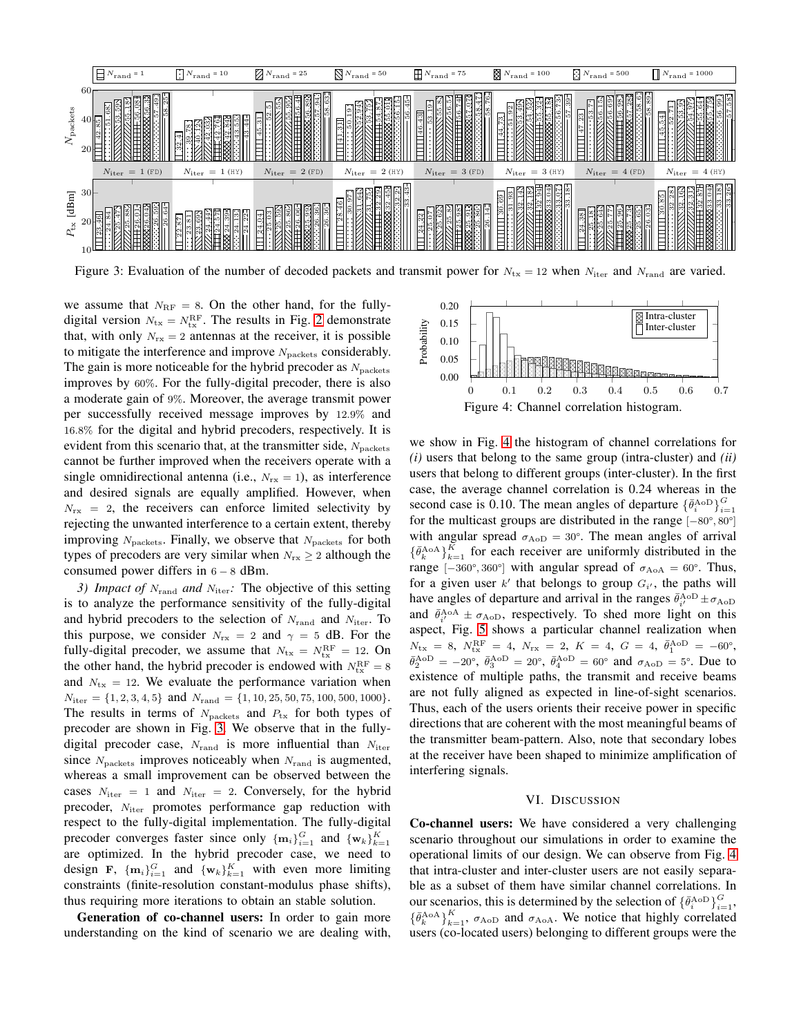<span id="page-5-1"></span>

Figure 3: Evaluation of the number of decoded packets and transmit power for  $N_{\text{tx}} = 12$  when  $N_{\text{iter}}$  and  $N_{\text{rand}}$  are varied.

we assume that  $N_{\text{RF}} = 8$ . On the other hand, for the fullydigital version  $N_{\text{tx}} = N_{\text{tx}}^{\text{RF}}$ . The results in Fig. [2](#page-4-2) demonstrate that, with only  $N_{rx} = 2$  antennas at the receiver, it is possible to mitigate the interference and improve  $N_{\text{packets}}$  considerably. The gain is more noticeable for the hybrid precoder as  $N<sub>packets</sub>$ improves by 60%. For the fully-digital precoder, there is also a moderate gain of 9%. Moreover, the average transmit power per successfully received message improves by 12.9% and .8% for the digital and hybrid precoders, respectively. It is evident from this scenario that, at the transmitter side,  $N<sub>packets</sub>$ cannot be further improved when the receivers operate with a single omnidirectional antenna (i.e.,  $N_{rx} = 1$ ), as interference and desired signals are equally amplified. However, when  $N_{\text{rx}}$  = 2, the receivers can enforce limited selectivity by rejecting the unwanted interference to a certain extent, thereby improving  $N_{\text{packets}}$ . Finally, we observe that  $N_{\text{packets}}$  for both types of precoders are very similar when  $N_{rx} \geq 2$  although the consumed power differs in <sup>6</sup> <sup>−</sup> <sup>8</sup> dBm.

*3) Impact of*  $N_{\text{rand}}$  *and*  $N_{\text{iter}}$ *:* The objective of this setting is to analyze the performance sensitivity of the fully-digital and hybrid precoders to the selection of  $N_{\text{rand}}$  and  $N_{\text{iter}}$ . To this purpose, we consider  $N_{rx} = 2$  and  $\gamma = 5$  dB. For the fully-digital precoder, we assume that  $N_{\text{tx}} = N_{\text{tx}}^{\text{RF}} = 12$ . On the other hand, the hybrid precoder is endowed with  $N_{\text{tx}}^{\text{RF}} = 8$ and  $N_{\text{tx}} = 12$ . We evaluate the performance variation when  $N_{\text{iter}} = \{1, 2, 3, 4, 5\}$  and  $N_{\text{rand}} = \{1, 10, 25, 50, 75, 100, 500, 1000\}.$ The results in terms of  $N_{\text{packets}}$  and  $P_{\text{tx}}$  for both types of precoder are shown in Fig. [3.](#page-5-1) We observe that in the fullydigital precoder case,  $N_{\text{rand}}$  is more influential than  $N_{\text{iter}}$ since  $N_{\text{packets}}$  improves noticeably when  $N_{\text{rand}}$  is augmented, whereas a small improvement can be observed between the cases  $N_{\text{iter}} = 1$  and  $N_{\text{iter}} = 2$ . Conversely, for the hybrid precoder,  $N_{\text{iter}}$  promotes performance gap reduction with respect to the fully-digital implementation. The fully-digital precoder converges faster since only  $\{m_i\}_{i=1}^G$  and  $\{w_k\}_{k=1}^K$ are optimized. In the hybrid precoder case, we need to design **F**,  ${\bf \{m_i\}}_{i=1}^G$  and  ${\bf \{w_k\}}_{k=1}^K$  with even more limiting constraints (finite-resolution constant-modulus phase shifts), thus requiring more iterations to obtain an stable solution.

Generation of co-channel users: In order to gain more understanding on the kind of scenario we are dealing with,

<span id="page-5-2"></span>

we show in Fig. [4](#page-5-2) the histogram of channel correlations for *(i)* users that belong to the same group (intra-cluster) and *(ii)* users that belong to different groups (inter-cluster). In the first case, the average channel correlation is 0.24 whereas in the second case is 0.10. The mean angles of departure  $\{\bar{\theta}_i^{\text{AoD}}\}_{i=1}^G$ for the multicast groups are distributed in the range [−80°, <sup>80</sup>°] with angular spread  $\sigma_{A \circ D} = 30^{\circ}$ . The mean angles of arrival  ${\{\bar{\theta}_k^{\text{AoA}}\}}_{k=1}^K$  for each receiver are uniformly distributed in the range  $[-360^{\circ}, 360^{\circ}]$  with angular spread of  $\sigma_{A_0A} = 60^{\circ}$ . Thus, for a given user  $k'$  that belongs to group  $G_{i'}$ , the paths will have angles of departure and arrival in the ranges  $\bar{\theta}_{i'}^{AoD} \pm \sigma_{AoD}$ and  $\bar{\theta}_{i'}^{\text{AoA}} \pm \sigma_{\text{AoD}}$ , respectively. To shed more light on this aspect, Fig. [5](#page-6-17) shows a particular channel realization when  $N_{\text{tx}} = 8, N_{\text{tx}}^{\text{RF}} = 4, N_{\text{rx}} = 2, K = 4, G = 4, \bar{\theta}_1^{\text{AoD}} = -60^{\circ},$  $\bar{\theta}_2^{\text{AoD}} = -20^\circ$ ,  $\bar{\theta}_3^{\text{AoD}} = 20^\circ$ ,  $\bar{\theta}_4^{\text{AoD}} = 60^\circ$  and  $\sigma_{\text{AoD}} = 5^\circ$ . Due to existence of multiple paths, the transmit and receive beams are not fully aligned as expected in line-of-sight scenarios. Thus, each of the users orients their receive power in specific directions that are coherent with the most meaningful beams of the transmitter beam-pattern. Also, note that secondary lobes at the receiver have been shaped to minimize amplification of interfering signals.

#### VI. DISCUSSION

<span id="page-5-0"></span>Co-channel users: We have considered a very challenging scenario throughout our simulations in order to examine the operational limits of our design. We can observe from Fig. [4](#page-5-2) that intra-cluster and inter-cluster users are not easily separable as a subset of them have similar channel correlations. In our scenarios, this is determined by the selection of  $\{\bar{\theta}_i^{\text{AoD}}\}_{i=1}^G$ ,  $\{\bar{\theta}_k^{\text{AoA}}\}_{k=1}^K$ ,  $\sigma_{\text{AoD}}$  and  $\sigma_{\text{AoA}}$ . We notice that highly correlated users (co-located users) belonging to different groups were the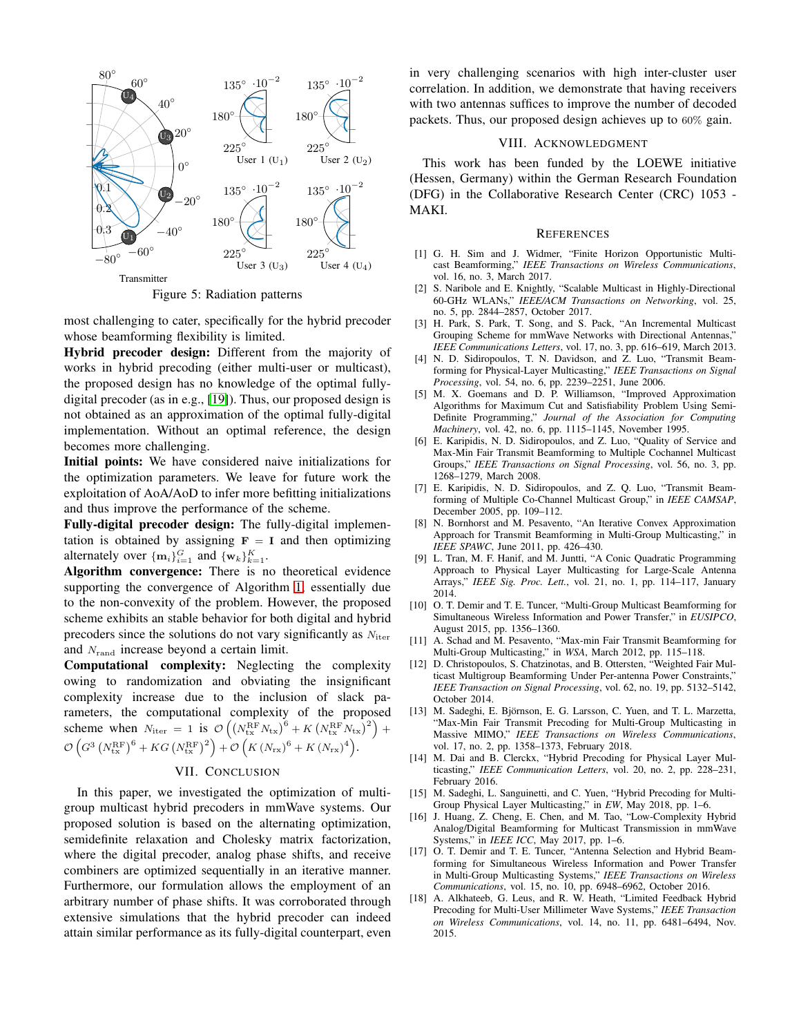<span id="page-6-17"></span>

Figure 5: Radiation patterns

most challenging to cater, specifically for the hybrid precoder whose beamforming flexibility is limited.

Hybrid precoder design: Different from the majority of works in hybrid precoding (either multi-user or multicast), the proposed design has no knowledge of the optimal fullydigital precoder (as in e.g., [\[19\]](#page-7-0)). Thus, our proposed design is not obtained as an approximation of the optimal fully-digital implementation. Without an optimal reference, the design becomes more challenging.

Initial points: We have considered naive initializations for the optimization parameters. We leave for future work the exploitation of AoA/AoD to infer more befitting initializations and thus improve the performance of the scheme.

Fully-digital precoder design: The fully-digital implementation is obtained by assigning  $\mathbf{F} = \mathbf{I}$  and then optimizing alternately over  $\{\mathbf{m}_i\}_{i=1}^G$  and  $\{\mathbf{w}_k\}_{k=1}^K$ .

Algorithm convergence: There is no theoretical evidence supporting the convergence of Algorithm [1,](#page-4-0) essentially due to the non-convexity of the problem. However, the proposed scheme exhibits an stable behavior for both digital and hybrid precoders since the solutions do not vary significantly as  $N_{\text{iter}}$ and  $N_{\text{rand}}$  increase beyond a certain limit.

Computational complexity: Neglecting the complexity owing to randomization and obviating the insignificant complexity increase due to the inclusion of slack parameters, the computational complexity of the proposed scheme when  $N_{\text{iter}} = 1$  is  $\mathcal{O}\left(\left(N_{\text{tx}}^{\text{RF}} N_{\text{tx}}\right)^6 + K\left(N_{\text{tx}}^{\text{RF}} N_{\text{tx}}\right)^2\right)$  +  $\mathcal{O}\left(G^3\left(N_{\mathrm{tx}}^{\mathrm{RF}}\right)^6 + KG\left(N_{\mathrm{tx}}^{\mathrm{RF}}\right)^2\right) + \mathcal{O}\left(K\left(N_{\mathrm{rx}}\right)^6 + K\left(N_{\mathrm{rx}}\right)^4\right).$ 

# VII. CONCLUSION

<span id="page-6-16"></span>In this paper, we investigated the optimization of multigroup multicast hybrid precoders in mmWave systems. Our proposed solution is based on the alternating optimization, semidefinite relaxation and Cholesky matrix factorization, where the digital precoder, analog phase shifts, and receive combiners are optimized sequentially in an iterative manner. Furthermore, our formulation allows the employment of an arbitrary number of phase shifts. It was corroborated through extensive simulations that the hybrid precoder can indeed attain similar performance as its fully-digital counterpart, even

in very challenging scenarios with high inter-cluster user correlation. In addition, we demonstrate that having receivers with two antennas suffices to improve the number of decoded packets. Thus, our proposed design achieves up to 60% gain.

## VIII. ACKNOWLEDGMENT

This work has been funded by the LOEWE initiative (Hessen, Germany) within the German Research Foundation (DFG) in the Collaborative Research Center (CRC) 1053 - MAKI.

#### **REFERENCES**

- <span id="page-6-0"></span>[1] G. H. Sim and J. Widmer, "Finite Horizon Opportunistic Multicast Beamforming," *IEEE Transactions on Wireless Communications*, vol. 16, no. 3, March 2017.
- <span id="page-6-1"></span>[2] S. Naribole and E. Knightly, "Scalable Multicast in Highly-Directional 60-GHz WLANs," *IEEE/ACM Transactions on Networking*, vol. 25, no. 5, pp. 2844–2857, October 2017.
- <span id="page-6-2"></span>[3] H. Park, S. Park, T. Song, and S. Pack, "An Incremental Multicast Grouping Scheme for mmWave Networks with Directional Antennas," *IEEE Communications Letters*, vol. 17, no. 3, pp. 616–619, March 2013.
- <span id="page-6-3"></span>[4] N. D. Sidiropoulos, T. N. Davidson, and Z. Luo, "Transmit Beamforming for Physical-Layer Multicasting," *IEEE Transactions on Signal Processing*, vol. 54, no. 6, pp. 2239–2251, June 2006.
- <span id="page-6-4"></span>[5] M. X. Goemans and D. P. Williamson, "Improved Approximation Algorithms for Maximum Cut and Satisfiability Problem Using Semi-Definite Programming," *Journal of the Association for Computing Machinery*, vol. 42, no. 6, pp. 1115–1145, November 1995.
- <span id="page-6-5"></span>[6] E. Karipidis, N. D. Sidiropoulos, and Z. Luo, "Quality of Service and Max-Min Fair Transmit Beamforming to Multiple Cochannel Multicast Groups," *IEEE Transactions on Signal Processing*, vol. 56, no. 3, pp. 1268–1279, March 2008.
- <span id="page-6-6"></span>[7] E. Karipidis, N. D. Sidiropoulos, and Z. Q. Luo, "Transmit Beamforming of Multiple Co-Channel Multicast Group," in *IEEE CAMSAP*, December 2005, pp. 109–112.
- <span id="page-6-7"></span>[8] N. Bornhorst and M. Pesavento, "An Iterative Convex Approximation Approach for Transmit Beamforming in Multi-Group Multicasting," in *IEEE SPAWC*, June 2011, pp. 426–430.
- [9] L. Tran, M. F. Hanif, and M. Juntti, "A Conic Quadratic Programming Approach to Physical Layer Multicasting for Large-Scale Antenna Arrays," *IEEE Sig. Proc. Lett.*, vol. 21, no. 1, pp. 114–117, January 2014.
- <span id="page-6-8"></span>[10] O. T. Demir and T. E. Tuncer, "Multi-Group Multicast Beamforming for Simultaneous Wireless Information and Power Transfer," in *EUSIPCO*, August 2015, pp. 1356–1360.
- <span id="page-6-9"></span>[11] A. Schad and M. Pesavento, "Max-min Fair Transmit Beamforming for Multi-Group Multicasting," in *WSA*, March 2012, pp. 115–118.
- [12] D. Christopoulos, S. Chatzinotas, and B. Ottersten, "Weighted Fair Multicast Multigroup Beamforming Under Per-antenna Power Constraints," *IEEE Transaction on Signal Processing*, vol. 62, no. 19, pp. 5132–5142, October 2014.
- <span id="page-6-10"></span>[13] M. Sadeghi, E. Björnson, E. G. Larsson, C. Yuen, and T. L. Marzetta, "Max-Min Fair Transmit Precoding for Multi-Group Multicasting in Massive MIMO," *IEEE Transactions on Wireless Communications*, vol. 17, no. 2, pp. 1358–1373, February 2018.
- <span id="page-6-11"></span>[14] M. Dai and B. Clerckx, "Hybrid Precoding for Physical Layer Multicasting," *IEEE Communication Letters*, vol. 20, no. 2, pp. 228–231, February 2016.
- <span id="page-6-12"></span>[15] M. Sadeghi, L. Sanguinetti, and C. Yuen, "Hybrid Precoding for Multi-Group Physical Layer Multicasting," in *EW*, May 2018, pp. 1–6.
- <span id="page-6-14"></span>[16] J. Huang, Z. Cheng, E. Chen, and M. Tao, "Low-Complexity Hybrid Analog/Digital Beamforming for Multicast Transmission in mmWave Systems," in *IEEE ICC*, May 2017, pp. 1–6.
- <span id="page-6-13"></span>[17] O. T. Demir and T. E. Tuncer, "Antenna Selection and Hybrid Beamforming for Simultaneous Wireless Information and Power Transfer in Multi-Group Multicasting Systems," *IEEE Transactions on Wireless Communications*, vol. 15, no. 10, pp. 6948–6962, October 2016.
- <span id="page-6-15"></span>[18] A. Alkhateeb, G. Leus, and R. W. Heath, "Limited Feedback Hybrid Precoding for Multi-User Millimeter Wave Systems," *IEEE Transaction on Wireless Communications*, vol. 14, no. 11, pp. 6481–6494, Nov. 2015.